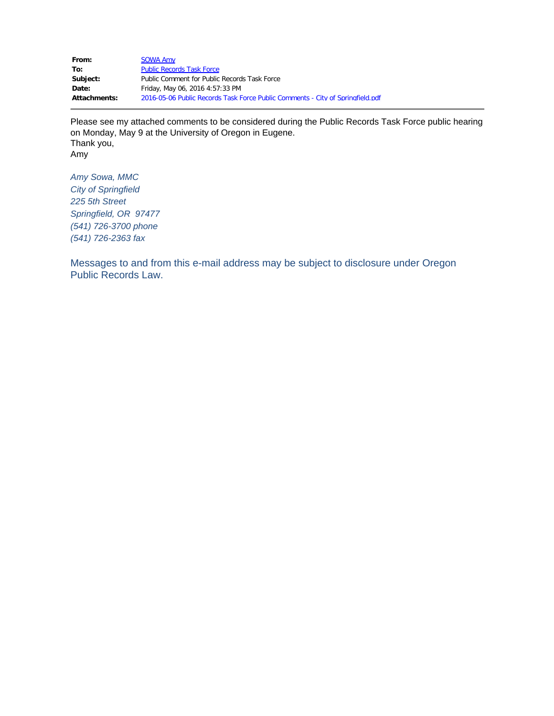From: [SOWA Amy](mailto:asowa@springfield-or.gov) To: [Public Records Task Force](mailto:PublicRecordsTaskForce@doj.state.or.us) Subject: Public Comment for Public Records Task Force **Date:** Friday, May 06, 2016 4:57:33 PM **Attachments:** 2016-05-06 Public Records Task Force Public Comments - City of Springfield.pdf

Please see my attached comments to be considered during the Public Records Task Force public hearing on Monday, May 9 at the University of Oregon in Eugene. Thank you, Amy

*Amy Sowa, MMC City of Springfield 225 5th Street Springfield, OR 97477 (541) 726-3700 phone (541) 726-2363 fax*

Messages to and from this e-mail address may be subject to disclosure under Oregon Public Records Law.